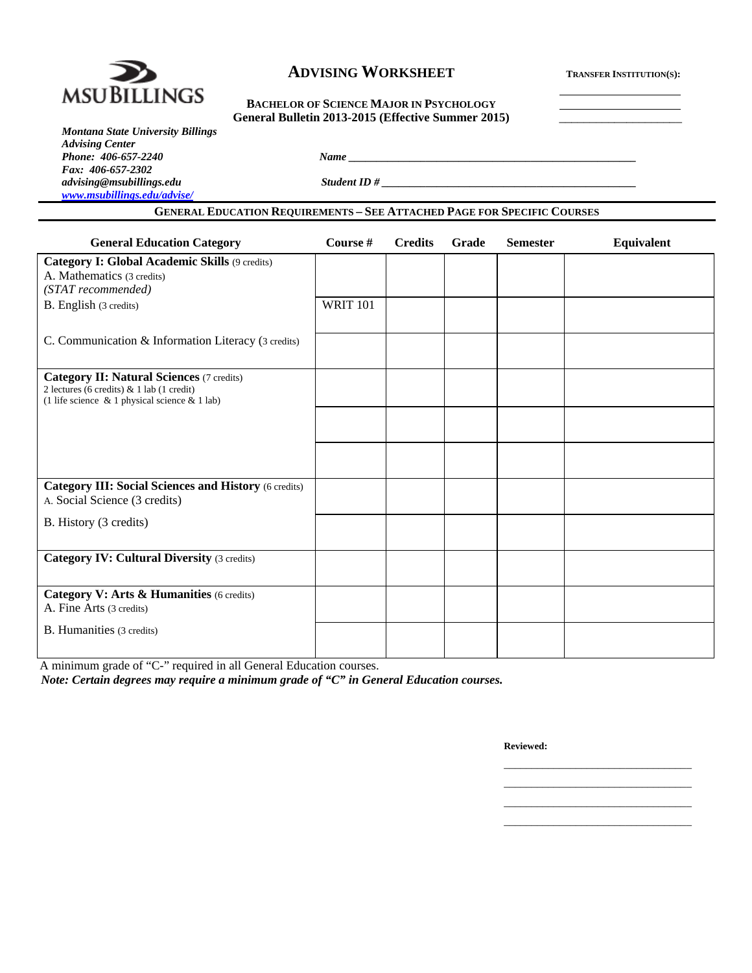

# **ADVISING WORKSHEET** TRANSFER INSTITUTION(S):

# General Bulletin 2013-2015 (Effective Summer 2015)

| <b>Montana State University Billings</b> |
|------------------------------------------|
| <b>Advising Center</b>                   |
| Phone: 406-657-2240                      |
| Fax: 406-657-2302                        |
| advising@msubillings.edu                 |
| www.msubillings.edu/advise/              |

*advising@msubillings.edu Student ID # \_\_\_\_\_\_\_\_\_\_\_\_\_\_\_\_\_\_\_\_\_\_\_\_\_\_\_\_\_\_\_\_\_\_\_\_\_\_\_\_\_\_\_\_\_\_* 

# **GENERAL EDUCATION REQUIREMENTS – SEE ATTACHED PAGE FOR SPECIFIC COURSES**

*Phone: 406-657-2240 Name \_\_\_\_\_\_\_\_\_\_\_\_\_\_\_\_\_\_\_\_\_\_\_\_\_\_\_\_\_\_\_\_\_\_\_\_\_\_\_\_\_\_\_\_\_\_\_\_\_\_\_\_* 

| <b>General Education Category</b>                                                                                                                                | Course #        | <b>Credits</b> | Grade | <b>Semester</b> | Equivalent |
|------------------------------------------------------------------------------------------------------------------------------------------------------------------|-----------------|----------------|-------|-----------------|------------|
| Category I: Global Academic Skills (9 credits)                                                                                                                   |                 |                |       |                 |            |
| A. Mathematics (3 credits)<br>(STAT recommended)                                                                                                                 |                 |                |       |                 |            |
| B. English (3 credits)                                                                                                                                           | <b>WRIT 101</b> |                |       |                 |            |
|                                                                                                                                                                  |                 |                |       |                 |            |
| C. Communication & Information Literacy (3 credits)                                                                                                              |                 |                |       |                 |            |
| <b>Category II: Natural Sciences (7 credits)</b><br>2 lectures (6 credits) $& 1$ lab (1 credit)<br>(1 life science $\&$ 1 physical science $\&$ 1 lab)           |                 |                |       |                 |            |
|                                                                                                                                                                  |                 |                |       |                 |            |
|                                                                                                                                                                  |                 |                |       |                 |            |
| <b>Category III: Social Sciences and History (6 credits)</b><br>A. Social Science (3 credits)                                                                    |                 |                |       |                 |            |
| B. History (3 credits)                                                                                                                                           |                 |                |       |                 |            |
| <b>Category IV: Cultural Diversity (3 credits)</b>                                                                                                               |                 |                |       |                 |            |
| Category V: Arts & Humanities (6 credits)                                                                                                                        |                 |                |       |                 |            |
| A. Fine Arts (3 credits)                                                                                                                                         |                 |                |       |                 |            |
| B. Humanities (3 credits)                                                                                                                                        |                 |                |       |                 |            |
| A minimum grade of "C-" required in all General Education courses.<br>Note: Certain degrees may require a minimum grade of " $C$ " in General Education courses. |                 |                |       |                 |            |

 $\mathcal{L}_\text{max}$  , and the contract of the contract of the contract of the contract of the contract of the contract of the contract of the contract of the contract of the contract of the contract of the contract of the contr  $\mathcal{L}_\text{max}$  , and the contract of the contract of the contract of the contract of the contract of the contract of the contract of the contract of the contract of the contract of the contract of the contract of the contr  $\mathcal{L}_\text{max}$  , and the contract of the contract of the contract of the contract of the contract of the contract of the contract of the contract of the contract of the contract of the contract of the contract of the contr  $\mathcal{L}_\text{max}$  , and the contract of the contract of the contract of the contract of the contract of the contract of the contract of the contract of the contract of the contract of the contract of the contract of the contr

*Note: Certain degrees may require a minimum grade of "C" in General Education courses.* 

**Reviewed:**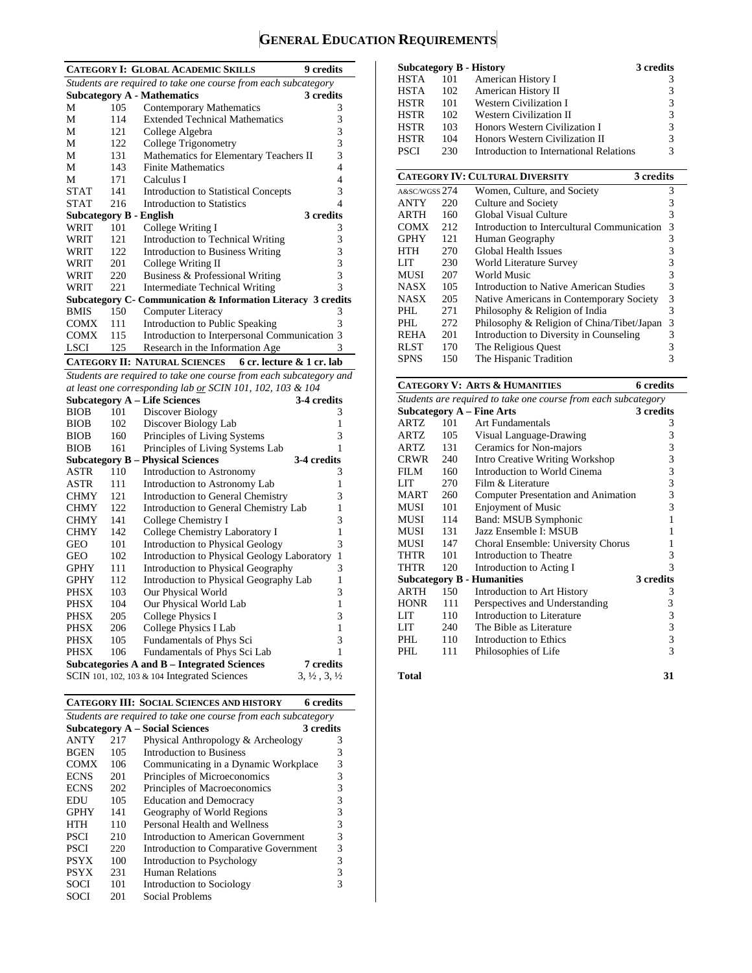# **GENERAL EDUCATION REQUIREMENTS**

|                                |     |                                                                    | 9 credits                        |
|--------------------------------|-----|--------------------------------------------------------------------|----------------------------------|
|                                |     | <b>CATEGORY I: GLOBAL ACADEMIC SKILLS</b>                          |                                  |
|                                |     | Students are required to take one course from each subcategory     |                                  |
|                                |     | <b>Subcategory A - Mathematics</b>                                 | 3 credits                        |
| М                              | 105 | <b>Contemporary Mathematics</b>                                    | 3                                |
| M                              | 114 | <b>Extended Technical Mathematics</b>                              | 3                                |
| М                              | 121 | College Algebra                                                    | 3                                |
| М                              | 122 | College Trigonometry                                               | 3                                |
| М                              | 131 | Mathematics for Elementary Teachers II                             | 3                                |
| М                              | 143 | <b>Finite Mathematics</b>                                          | 4                                |
| М                              | 171 | Calculus I                                                         | $\overline{4}$                   |
| <b>STAT</b>                    | 141 | <b>Introduction to Statistical Concepts</b>                        | 3                                |
| <b>STAT</b>                    | 216 | <b>Introduction to Statistics</b>                                  | 4                                |
| <b>Subcategory B - English</b> |     |                                                                    | 3 credits                        |
| WRIT                           | 101 | College Writing I                                                  | 3                                |
| WRIT                           | 121 | Introduction to Technical Writing                                  | 3                                |
| WRIT                           | 122 | <b>Introduction to Business Writing</b>                            | 3                                |
| WRIT                           | 201 | College Writing II                                                 | 3                                |
| WRIT                           | 220 | Business & Professional Writing                                    | 3                                |
| WRIT                           | 221 | Intermediate Technical Writing                                     | 3                                |
|                                |     | Subcategory C- Communication & Information Literacy 3 credits      |                                  |
| <b>BMIS</b>                    | 150 | <b>Computer Literacy</b>                                           | 3                                |
| <b>COMX</b>                    | 111 | Introduction to Public Speaking                                    | 3                                |
| <b>COMX</b>                    | 115 | Introduction to Interpersonal Communication                        | 3                                |
| <b>LSCI</b>                    | 125 | Research in the Information Age                                    | 3                                |
|                                |     | <b>CATEGORY II: NATURAL SCIENCES</b><br>6 cr. lecture & 1 cr. lab  |                                  |
|                                |     | Students are required to take one course from each subcategory and |                                  |
|                                |     | at least one corresponding lab or SCIN 101, 102, 103 & 104         |                                  |
|                                |     | <b>Subcategory A - Life Sciences</b>                               | 3-4 credits                      |
| <b>BIOB</b>                    | 101 | Discover Biology                                                   | 3                                |
| <b>BIOB</b>                    | 102 | Discover Biology Lab                                               | 1                                |
| <b>BIOB</b>                    | 160 | Principles of Living Systems                                       | 3                                |
| <b>BIOB</b>                    | 161 | Principles of Living Systems Lab                                   | 1                                |
|                                |     | <b>Subcategory B - Physical Sciences</b>                           | 3-4 credits                      |
| <b>ASTR</b>                    | 110 | Introduction to Astronomy                                          | 3                                |
| <b>ASTR</b>                    | 111 | Introduction to Astronomy Lab                                      | 1                                |
| <b>CHMY</b>                    | 121 | Introduction to General Chemistry                                  | 3                                |
| <b>CHMY</b>                    | 122 | Introduction to General Chemistry Lab                              | 1                                |
| <b>CHMY</b>                    | 141 | College Chemistry I                                                | 3                                |
| <b>CHMY</b>                    | 142 | College Chemistry Laboratory I                                     | 1                                |
| <b>GEO</b>                     | 101 | <b>Introduction to Physical Geology</b>                            | 3                                |
| <b>GEO</b>                     | 102 | <b>Introduction to Physical Geology Laboratory</b>                 | 1                                |
| <b>GPHY</b>                    | 111 | Introduction to Physical Geography                                 | 3                                |
| <b>GPHY</b>                    | 112 | Introduction to Physical Geography Lab                             | 1                                |
| <b>PHSX</b>                    | 103 | Our Physical World                                                 | 3                                |
| <b>PHSX</b>                    | 104 | Our Physical World Lab                                             | 1                                |
| PHSX                           | 205 | <b>College Physics I</b>                                           | 3                                |
| <b>PHSX</b>                    | 206 | College Physics I Lab                                              | $\mathbf{1}$                     |
| <b>PHSX</b>                    | 105 | Fundamentals of Phys Sci                                           | 3                                |
| <b>PHSX</b>                    | 106 | Fundamentals of Phys Sci Lab                                       | 1                                |
|                                |     | <b>Subcategories A and B - Integrated Sciences</b>                 | 7 credits                        |
|                                |     | SCIN 101, 102, 103 $& 104$ Integrated Sciences                     | $3, \frac{1}{2}, 3, \frac{1}{2}$ |
|                                |     |                                                                    |                                  |

**CATEGORY III: SOCIAL SCIENCES AND HISTORY 6 credits** 

| Students are required to take one course from each subcategory |     |                                        |           |  |  |  |
|----------------------------------------------------------------|-----|----------------------------------------|-----------|--|--|--|
|                                                                |     | <b>Subcategory A – Social Sciences</b> | 3 credits |  |  |  |
| <b>ANTY</b>                                                    | 217 | Physical Anthropology & Archeology     | 3         |  |  |  |
| <b>BGEN</b>                                                    | 105 | Introduction to Business               | 3         |  |  |  |
| <b>COMX</b>                                                    | 106 | Communicating in a Dynamic Workplace   | 3         |  |  |  |
| <b>ECNS</b>                                                    | 201 | Principles of Microeconomics           | 3         |  |  |  |
| <b>ECNS</b>                                                    | 202 | Principles of Macroeconomics           | 3         |  |  |  |
| EDU                                                            | 105 | <b>Education and Democracy</b>         | 3         |  |  |  |
| <b>GPHY</b>                                                    | 141 | Geography of World Regions             | 3         |  |  |  |
| <b>HTH</b>                                                     | 110 | Personal Health and Wellness           | 3         |  |  |  |
| <b>PSCI</b>                                                    | 210 | Introduction to American Government    | 3         |  |  |  |
| <b>PSCI</b>                                                    | 220 | Introduction to Comparative Government | 3         |  |  |  |
| <b>PSYX</b>                                                    | 100 | Introduction to Psychology             | 3         |  |  |  |
| <b>PSYX</b>                                                    | 231 | Human Relations                        | 3         |  |  |  |
| <b>SOCI</b>                                                    | 101 | Introduction to Sociology              |           |  |  |  |
| SOCI                                                           | 201 | Social Problems                        |           |  |  |  |

|      |     | <b>Subcategory B - History</b>          | 3 credits     |
|------|-----|-----------------------------------------|---------------|
| HSTA | 101 | American History I                      | 3             |
| HSTA | 102 | American History II                     | 3             |
| HSTR | 101 | <b>Western Civilization I</b>           | 3             |
| HSTR | 102 | Western Civilization II                 | 3             |
| HSTR | 103 | Honors Western Civilization I           | 3             |
| HSTR | 104 | Honors Western Civilization II          | 3             |
| PSCI | 230 | Introduction to International Relations | $\mathcal{R}$ |

|               |     | <b>CATEGORY IV: CULTURAL DIVERSITY</b><br>3 credits |   |
|---------------|-----|-----------------------------------------------------|---|
| A&SC/WGSS 274 |     | Women, Culture, and Society                         | 3 |
| <b>ANTY</b>   | 220 | Culture and Society                                 | 3 |
| <b>ARTH</b>   | 160 | Global Visual Culture                               | 3 |
| <b>COMX</b>   | 212 | Introduction to Intercultural Communication         | 3 |
| <b>GPHY</b>   | 121 | Human Geography                                     | 3 |
| <b>HTH</b>    | 270 | Global Health Issues                                | 3 |
| LIT           | 230 | World Literature Survey                             | 3 |
| <b>MUSI</b>   | 207 | World Music                                         | 3 |
| <b>NASX</b>   | 105 | Introduction to Native American Studies             | 3 |
| <b>NASX</b>   | 205 | Native Americans in Contemporary Society            | 3 |
| PHL           | 271 | Philosophy & Religion of India                      | 3 |
| PHL           | 272 | Philosophy & Religion of China/Tibet/Japan          | 3 |
| <b>REHA</b>   | 201 | Introduction to Diversity in Counseling             | 3 |
| <b>RLST</b>   | 170 | The Religious Quest                                 |   |
| <b>SPNS</b>   | 150 | The Hispanic Tradition                              | 3 |

|             |     | <b>CATEGORY V: ARTS &amp; HUMANITIES</b>                       | 6 credits      |
|-------------|-----|----------------------------------------------------------------|----------------|
|             |     | Students are required to take one course from each subcategory |                |
|             |     | <b>Subcategory A – Fine Arts</b>                               | 3 credits      |
| ARTZ        | 101 | Art Fundamentals                                               | 3              |
| ARTZ        | 105 | Visual Language-Drawing                                        | 3              |
| ARTZ.       | 131 | Ceramics for Non-majors                                        | 3              |
| CRWR        | 240 | Intro Creative Writing Workshop                                | 3              |
| FILM        | 160 | Introduction to World Cinema                                   | 3              |
| LIT         | 270 | Film $&$ Literature                                            | 3              |
| <b>MART</b> | 260 | <b>Computer Presentation and Animation</b>                     | 3              |
| MUSI        | 101 | <b>Enjoyment of Music</b>                                      | 3              |
| <b>MUSI</b> | 114 | Band: MSUB Symphonic                                           | 1              |
| <b>MUSI</b> | 131 | Jazz Ensemble I: MSUB                                          | 1              |
| MUSI        | 147 | Choral Ensemble: University Chorus                             | 1              |
| THTR        | 101 | Introduction to Theatre                                        | 3              |
| THTR        | 120 | Introduction to Acting I                                       | 3              |
|             |     | <b>Subcategory B - Humanities</b>                              | 3 credits      |
| <b>ARTH</b> | 150 | Introduction to Art History                                    | 3              |
| <b>HONR</b> | 111 | Perspectives and Understanding                                 | 3              |
| LIT         | 110 | Introduction to Literature                                     | 3              |
| LIT         | 240 | The Bible as Literature                                        | 3              |
| PHI.        | 110 | <b>Introduction to Ethics</b>                                  | 3              |
| PHI.        | 111 | Philosophies of Life                                           | $\overline{3}$ |
|             |     |                                                                |                |

**Total 31**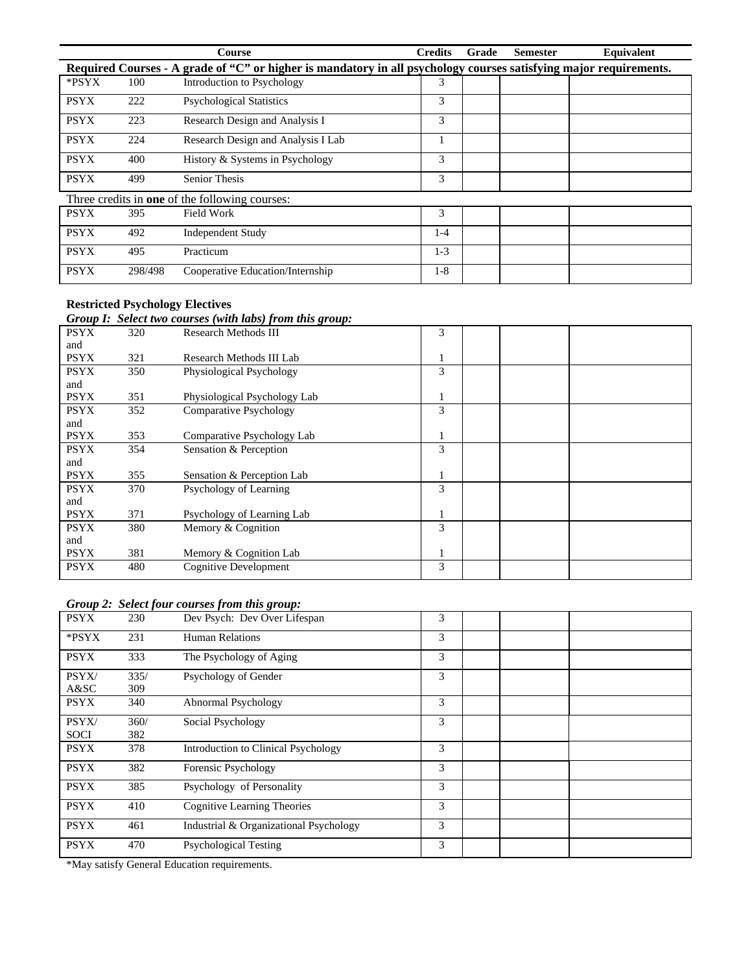|             |         | Course                                                                                                            | <b>Credits</b> | Grade | <b>Semester</b> | Equivalent |
|-------------|---------|-------------------------------------------------------------------------------------------------------------------|----------------|-------|-----------------|------------|
|             |         | Required Courses - A grade of "C" or higher is mandatory in all psychology courses satisfying major requirements. |                |       |                 |            |
| *PSYX       | 100     | Introduction to Psychology                                                                                        | 3              |       |                 |            |
| <b>PSYX</b> | 222     | <b>Psychological Statistics</b>                                                                                   | 3              |       |                 |            |
| <b>PSYX</b> | 223     | Research Design and Analysis I                                                                                    | 3              |       |                 |            |
| <b>PSYX</b> | 224     | Research Design and Analysis I Lab                                                                                |                |       |                 |            |
| <b>PSYX</b> | 400     | History & Systems in Psychology                                                                                   | 3              |       |                 |            |
| <b>PSYX</b> | 499     | <b>Senior Thesis</b>                                                                                              | 3              |       |                 |            |
|             |         | Three credits in <b>one</b> of the following courses:                                                             |                |       |                 |            |
| <b>PSYX</b> | 395     | Field Work                                                                                                        | 3              |       |                 |            |
| <b>PSYX</b> | 492     | <b>Independent Study</b>                                                                                          | $1-4$          |       |                 |            |
| <b>PSYX</b> | 495     | Practicum                                                                                                         | $1-3$          |       |                 |            |
| <b>PSYX</b> | 298/498 | Cooperative Education/Internship                                                                                  | $1-8$          |       |                 |            |

# **Restricted Psychology Electives**

#### *Group I: Select two courses (with labs) from this group:*

|             |     | $\sigma$ , $\sigma$ , $\sigma$ , $\sigma$ , $\sigma$ , $\sigma$ , $\sigma$ , $\sigma$ , $\sigma$ , $\sigma$ , $\sigma$ , $\sigma$ , $\sigma$ , $\sigma$ , $\sigma$ , $\sigma$ , $\sigma$ , $\sigma$ , $\sigma$ , $\sigma$ , $\sigma$ , $\sigma$ , $\sigma$ , $\sigma$ , $\sigma$ , $\sigma$ , $\sigma$ , $\sigma$ , $\sigma$ , $\sigma$ , $\sigma$ , $\sigma$ |   |  |
|-------------|-----|---------------------------------------------------------------------------------------------------------------------------------------------------------------------------------------------------------------------------------------------------------------------------------------------------------------------------------------------------------------|---|--|
| <b>PSYX</b> | 320 | <b>Research Methods III</b>                                                                                                                                                                                                                                                                                                                                   | 3 |  |
| and         |     |                                                                                                                                                                                                                                                                                                                                                               |   |  |
| <b>PSYX</b> | 321 | Research Methods III Lab                                                                                                                                                                                                                                                                                                                                      |   |  |
| <b>PSYX</b> | 350 | Physiological Psychology                                                                                                                                                                                                                                                                                                                                      | 3 |  |
| and         |     |                                                                                                                                                                                                                                                                                                                                                               |   |  |
| <b>PSYX</b> | 351 | Physiological Psychology Lab                                                                                                                                                                                                                                                                                                                                  |   |  |
| <b>PSYX</b> | 352 | <b>Comparative Psychology</b>                                                                                                                                                                                                                                                                                                                                 | 3 |  |
| and         |     |                                                                                                                                                                                                                                                                                                                                                               |   |  |
| <b>PSYX</b> | 353 | Comparative Psychology Lab                                                                                                                                                                                                                                                                                                                                    |   |  |
| <b>PSYX</b> | 354 | Sensation & Perception                                                                                                                                                                                                                                                                                                                                        | 3 |  |
| and         |     |                                                                                                                                                                                                                                                                                                                                                               |   |  |
| <b>PSYX</b> | 355 | Sensation & Perception Lab                                                                                                                                                                                                                                                                                                                                    |   |  |
| <b>PSYX</b> | 370 | Psychology of Learning                                                                                                                                                                                                                                                                                                                                        | 3 |  |
| and         |     |                                                                                                                                                                                                                                                                                                                                                               |   |  |
| <b>PSYX</b> | 371 | Psychology of Learning Lab                                                                                                                                                                                                                                                                                                                                    |   |  |
| <b>PSYX</b> | 380 | Memory & Cognition                                                                                                                                                                                                                                                                                                                                            | 3 |  |
| and         |     |                                                                                                                                                                                                                                                                                                                                                               |   |  |
| <b>PSYX</b> | 381 | Memory & Cognition Lab                                                                                                                                                                                                                                                                                                                                        |   |  |
| <b>PSYX</b> | 480 | <b>Cognitive Development</b>                                                                                                                                                                                                                                                                                                                                  | 3 |  |
|             |     |                                                                                                                                                                                                                                                                                                                                                               |   |  |

#### *Group 2: Select four courses from this group:*

| <b>PSYX</b>          | 230         | Dev Psych: Dev Over Lifespan               | 3 |  |  |
|----------------------|-------------|--------------------------------------------|---|--|--|
| *PSYX                | 231         | <b>Human Relations</b>                     | 3 |  |  |
| <b>PSYX</b>          | 333         | The Psychology of Aging                    | 3 |  |  |
| PSYX/<br>A&SC        | 335/<br>309 | Psychology of Gender                       | 3 |  |  |
| <b>PSYX</b>          | 340         | Abnormal Psychology                        | 3 |  |  |
| PSYX/<br><b>SOCI</b> | 360/<br>382 | Social Psychology                          | 3 |  |  |
| <b>PSYX</b>          | 378         | <b>Introduction to Clinical Psychology</b> | 3 |  |  |
| <b>PSYX</b>          | 382         | Forensic Psychology                        | 3 |  |  |
| <b>PSYX</b>          | 385         | Psychology of Personality                  | 3 |  |  |
| <b>PSYX</b>          | 410         | Cognitive Learning Theories                | 3 |  |  |
| <b>PSYX</b>          | 461         | Industrial & Organizational Psychology     | 3 |  |  |
| <b>PSYX</b>          | 470         | <b>Psychological Testing</b>               | 3 |  |  |

\*May satisfy General Education requirements.